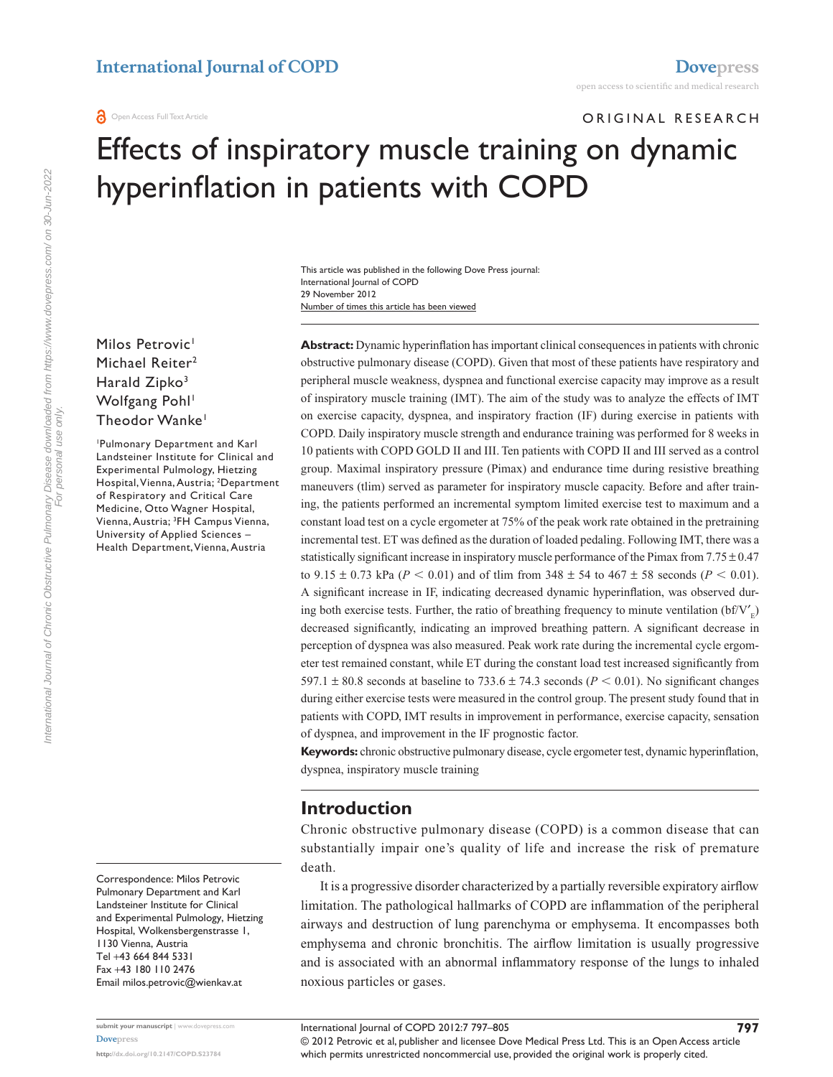# ORIGINAL RESEARCH

# Effects of inspiratory muscle training on dynamic hyperinflation in patients with COPD

Number of times this article has been viewed This article was published in the following Dove Press journal: International Journal of COPD 29 November 2012

Milos Petrovic<sup>1</sup> Michael Reiter<sup>2</sup> Harald Zipko<sup>3</sup> Wolfgang Pohl<sup>1</sup> Theodor Wanke<sup>1</sup>

1 Pulmonary Department and Karl Landsteiner Institute for Clinical and Experimental Pulmology, Hietzing Hospital, Vienna, Austria; 2 Department of Respiratory and Critical Care Medicine, Otto Wagner Hospital, Vienna, Austria; 3 FH Campus Vienna, University of Applied Sciences – Health Department, Vienna, Austria

Correspondence: Milos Petrovic Pulmonary Department and Karl Landsteiner Institute for Clinical and Experimental Pulmology, Hietzing Hospital, Wolkensbergenstrasse 1, 1130 Vienna, Austria Tel +43 664 844 5331 Fax +43 180 110 2476 Email [milos.petrovic@wienkav.at](mailto:milos.petrovic@wienkav.at)

**submit your manuscript** | <www.dovepress.com> **[Dovepress](www.dovepress.com)**

**<http://dx.doi.org/10.2147/COPD.S23784>**

## **Abstract:** Dynamic hyperinflation has important clinical consequences in patients with chronic obstructive pulmonary disease (COPD). Given that most of these patients have respiratory and peripheral muscle weakness, dyspnea and functional exercise capacity may improve as a result of inspiratory muscle training (IMT). The aim of the study was to analyze the effects of IMT on exercise capacity, dyspnea, and inspiratory fraction (IF) during exercise in patients with COPD. Daily inspiratory muscle strength and endurance training was performed for 8 weeks in 10 patients with COPD GOLD II and III. Ten patients with COPD II and III served as a control group. Maximal inspiratory pressure (Pimax) and endurance time during resistive breathing maneuvers (tlim) served as parameter for inspiratory muscle capacity. Before and after training, the patients performed an incremental symptom limited exercise test to maximum and a constant load test on a cycle ergometer at 75% of the peak work rate obtained in the pretraining incremental test. ET was defined as the duration of loaded pedaling. Following IMT, there was a statistically significant increase in inspiratory muscle performance of the Pimax from  $7.75 \pm 0.47$ to 9.15  $\pm$  0.73 kPa (*P* < 0.01) and of tlim from 348  $\pm$  54 to 467  $\pm$  58 seconds (*P* < 0.01). A significant increase in IF, indicating decreased dynamic hyperinflation, was observed during both exercise tests. Further, the ratio of breathing frequency to minute ventilation  $(bf/V_{\rm g})$ decreased significantly, indicating an improved breathing pattern. A significant decrease in perception of dyspnea was also measured. Peak work rate during the incremental cycle ergometer test remained constant, while ET during the constant load test increased significantly from 597.1  $\pm$  80.8 seconds at baseline to 733.6  $\pm$  74.3 seconds ( $P < 0.01$ ). No significant changes during either exercise tests were measured in the control group. The present study found that in patients with COPD, IMT results in improvement in performance, exercise capacity, sensation of dyspnea, and improvement in the IF prognostic factor.

**Keywords:** chronic obstructive pulmonary disease, cycle ergometer test, dynamic hyperinflation, dyspnea, inspiratory muscle training

## **Introduction**

Chronic obstructive pulmonary disease (COPD) is a common disease that can substantially impair one's quality of life and increase the risk of premature death.

It is a progressive disorder characterized by a partially reversible expiratory airflow limitation. The pathological hallmarks of COPD are inflammation of the peripheral airways and destruction of lung parenchyma or emphysema. It encompasses both emphysema and chronic bronchitis. The airflow limitation is usually progressive and is associated with an abnormal inflammatory response of the lungs to inhaled noxious particles or gases.

© 2012 Petrovic et al, publisher and licensee Dove Medical Press Ltd. This is an Open Access article which permits unrestricted noncommercial use, provided the original work is properly cited.

**797**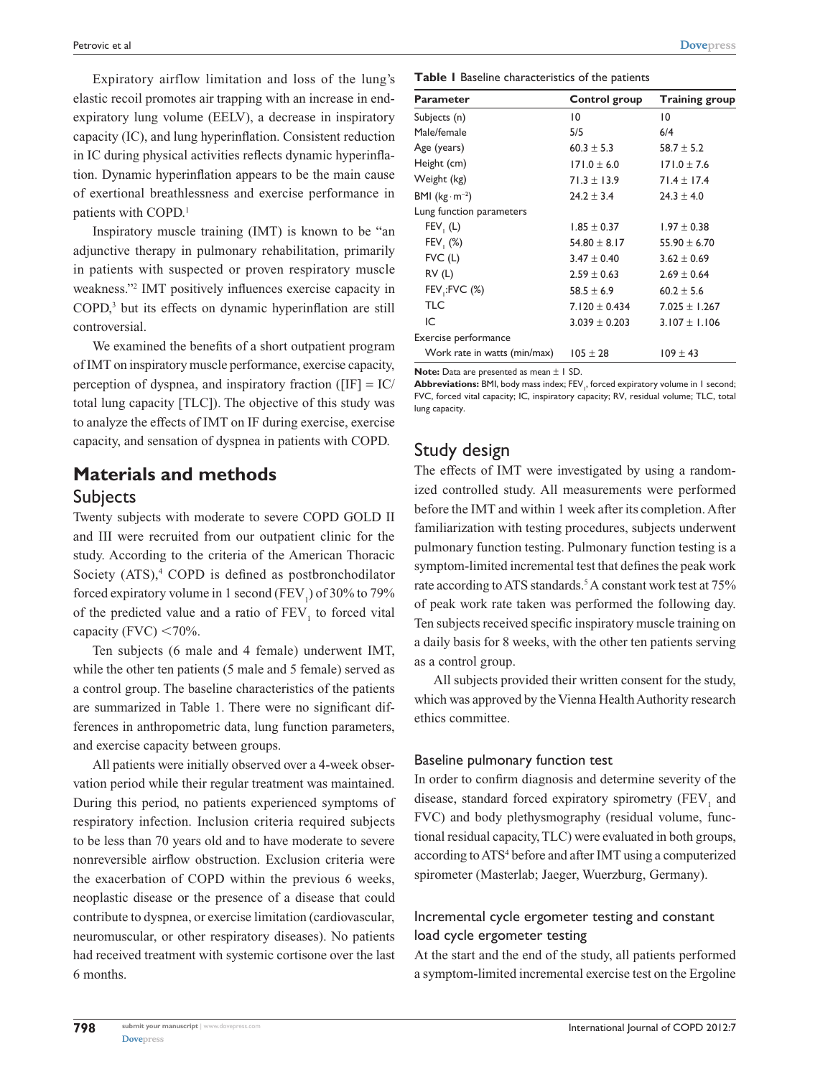Expiratory airflow limitation and loss of the lung's elastic recoil promotes air trapping with an increase in endexpiratory lung volume (EELV), a decrease in inspiratory capacity (IC), and lung hyperinflation. Consistent reduction in IC during physical activities reflects dynamic hyperinflation. Dynamic hyperinflation appears to be the main cause of exertional breathlessness and exercise performance in patients with COPD.<sup>1</sup>

Inspiratory muscle training (IMT) is known to be "an adjunctive therapy in pulmonary rehabilitation, primarily in patients with suspected or proven respiratory muscle weakness."2 IMT positively influences exercise capacity in COPD,<sup>3</sup> but its effects on dynamic hyperinflation are still controversial.

We examined the benefits of a short outpatient program of IMT on inspiratory muscle performance, exercise capacity, perception of dyspnea, and inspiratory fraction ( $[IF] = IC/$ total lung capacity [TLC]). The objective of this study was to analyze the effects of IMT on IF during exercise, exercise capacity, and sensation of dyspnea in patients with COPD.

# **Materials and methods Subjects**

Twenty subjects with moderate to severe COPD GOLD II and III were recruited from our outpatient clinic for the study. According to the criteria of the American Thoracic Society (ATS),<sup>4</sup> COPD is defined as postbronchodilator forced expiratory volume in 1 second (FEV<sub>1</sub>) of 30% to 79% of the predicted value and a ratio of  $FEV<sub>1</sub>$  to forced vital capacity (FVC)  $<$  70%.

Ten subjects (6 male and 4 female) underwent IMT, while the other ten patients (5 male and 5 female) served as a control group. The baseline characteristics of the patients are summarized in Table 1. There were no significant differences in anthropometric data, lung function parameters, and exercise capacity between groups.

All patients were initially observed over a 4-week observation period while their regular treatment was maintained. During this period, no patients experienced symptoms of respiratory infection. Inclusion criteria required subjects to be less than 70 years old and to have moderate to severe nonreversible airflow obstruction. Exclusion criteria were the exacerbation of COPD within the previous 6 weeks, neoplastic disease or the presence of a disease that could contribute to dyspnea, or exercise limitation (cardiovascular, neuromuscular, or other respiratory diseases). No patients had received treatment with systemic cortisone over the last 6 months.

| Table I Baseline characteristics of the patients |  |
|--------------------------------------------------|--|
|--------------------------------------------------|--|

| Parameter                    | Control group     | <b>Training group</b> |
|------------------------------|-------------------|-----------------------|
| Subjects (n)                 | 10                | 10                    |
| Male/female                  | 5/5               | 6/4                   |
| Age (years)                  | $60.3 \pm 5.3$    | $58.7 \pm 5.2$        |
| Height (cm)                  | $171.0 \pm 6.0$   | $171.0 \pm 7.6$       |
| Weight (kg)                  | $71.3 \pm 13.9$   | $71.4 \pm 17.4$       |
| BMI ( $kg \cdot m^{-2}$ )    | $24.2 \pm 3.4$    | $24.3 \pm 4.0$        |
| Lung function parameters     |                   |                       |
| FEV, (L)                     | $1.85 \pm 0.37$   | $1.97 \pm 0.38$       |
| FEV, $(\%)$                  | $54.80 \pm 8.17$  | $55.90 \pm 6.70$      |
| $FVC$ (L)                    | $3.47 \pm 0.40$   | $3.62 \pm 0.69$       |
| RV(L)                        | $2.59 \pm 0.63$   | $2.69 \pm 0.64$       |
| FEV <sub>I</sub> :FVC (%)    | $58.5 \pm 6.9$    | $60.2 \pm 5.6$        |
| TLC.                         | $7.120 \pm 0.434$ | $7.025 \pm 1.267$     |
| IC                           | $3.039 \pm 0.203$ | $3.107 \pm 1.106$     |
| Exercise performance         |                   |                       |
| Work rate in watts (min/max) | $105 \pm 28$      | $109 \pm 43$          |

**Note:** Data are presented as mean  $\pm$  1 SD.

**Abbreviations:** BMI, body mass index; FEV1 , forced expiratory volume in 1 second; FVC, forced vital capacity; IC, inspiratory capacity; RV, residual volume; TLC, total lung capacity.

## Study design

The effects of IMT were investigated by using a randomized controlled study. All measurements were performed before the IMT and within 1 week after its completion. After familiarization with testing procedures, subjects underwent pulmonary function testing. Pulmonary function testing is a symptom-limited incremental test that defines the peak work rate according to ATS standards.<sup>5</sup> A constant work test at 75% of peak work rate taken was performed the following day. Ten subjects received specific inspiratory muscle training on a daily basis for 8 weeks, with the other ten patients serving as a control group.

All subjects provided their written consent for the study, which was approved by the Vienna Health Authority research ethics committee.

#### Baseline pulmonary function test

In order to confirm diagnosis and determine severity of the disease, standard forced expiratory spirometry  $(FEV<sub>1</sub>$  and FVC) and body plethysmography (residual volume, functional residual capacity, TLC) were evaluated in both groups, according to ATS4 before and after IMT using a computerized spirometer (Masterlab; Jaeger, Wuerzburg, Germany).

## Incremental cycle ergometer testing and constant load cycle ergometer testing

At the start and the end of the study, all patients performed a symptom-limited incremental exercise test on the Ergoline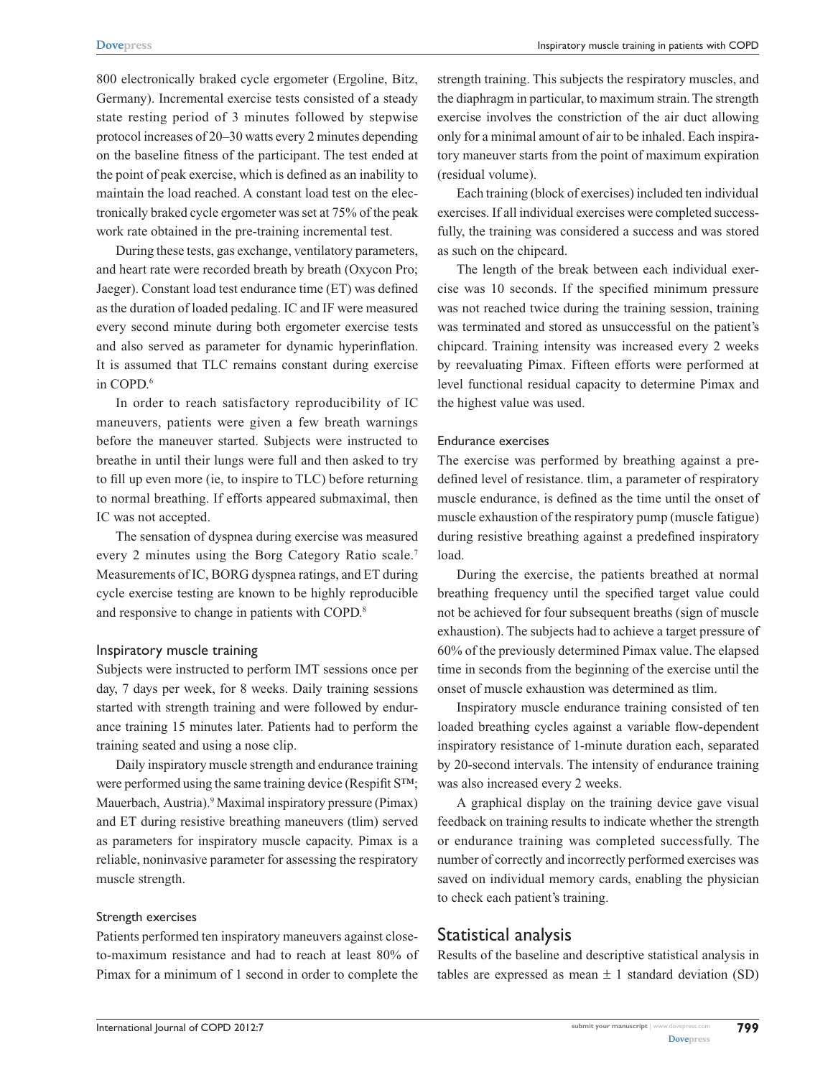800 electronically braked cycle ergometer (Ergoline, Bitz, Germany). Incremental exercise tests consisted of a steady state resting period of 3 minutes followed by stepwise protocol increases of 20–30 watts every 2 minutes depending on the baseline fitness of the participant. The test ended at the point of peak exercise, which is defined as an inability to maintain the load reached. A constant load test on the electronically braked cycle ergometer was set at 75% of the peak work rate obtained in the pre-training incremental test.

During these tests, gas exchange, ventilatory parameters, and heart rate were recorded breath by breath (Oxycon Pro; Jaeger). Constant load test endurance time (ET) was defined as the duration of loaded pedaling. IC and IF were measured every second minute during both ergometer exercise tests and also served as parameter for dynamic hyperinflation. It is assumed that TLC remains constant during exercise in COPD.6

In order to reach satisfactory reproducibility of IC maneuvers, patients were given a few breath warnings before the maneuver started. Subjects were instructed to breathe in until their lungs were full and then asked to try to fill up even more (ie, to inspire to TLC) before returning to normal breathing. If efforts appeared submaximal, then IC was not accepted.

The sensation of dyspnea during exercise was measured every 2 minutes using the Borg Category Ratio scale.7 Measurements of IC, BORG dyspnea ratings, and ET during cycle exercise testing are known to be highly reproducible and responsive to change in patients with COPD.<sup>8</sup>

#### Inspiratory muscle training

Subjects were instructed to perform IMT sessions once per day, 7 days per week, for 8 weeks. Daily training sessions started with strength training and were followed by endurance training 15 minutes later. Patients had to perform the training seated and using a nose clip.

Daily inspiratory muscle strength and endurance training were performed using the same training device (Respifit S™; Mauerbach, Austria).<sup>9</sup> Maximal inspiratory pressure (Pimax) and ET during resistive breathing maneuvers (tlim) served as parameters for inspiratory muscle capacity. Pimax is a reliable, noninvasive parameter for assessing the respiratory muscle strength.

#### Strength exercises

Patients performed ten inspiratory maneuvers against closeto-maximum resistance and had to reach at least 80% of Pimax for a minimum of 1 second in order to complete the

strength training. This subjects the respiratory muscles, and the diaphragm in particular, to maximum strain. The strength exercise involves the constriction of the air duct allowing only for a minimal amount of air to be inhaled. Each inspiratory maneuver starts from the point of maximum expiration (residual volume).

Each training (block of exercises) included ten individual exercises. If all individual exercises were completed successfully, the training was considered a success and was stored as such on the chipcard.

The length of the break between each individual exercise was 10 seconds. If the specified minimum pressure was not reached twice during the training session, training was terminated and stored as unsuccessful on the patient's chipcard. Training intensity was increased every 2 weeks by reevaluating Pimax. Fifteen efforts were performed at level functional residual capacity to determine Pimax and the highest value was used.

#### Endurance exercises

The exercise was performed by breathing against a predefined level of resistance. tlim, a parameter of respiratory muscle endurance, is defined as the time until the onset of muscle exhaustion of the respiratory pump (muscle fatigue) during resistive breathing against a predefined inspiratory load.

During the exercise, the patients breathed at normal breathing frequency until the specified target value could not be achieved for four subsequent breaths (sign of muscle exhaustion). The subjects had to achieve a target pressure of 60% of the previously determined Pimax value. The elapsed time in seconds from the beginning of the exercise until the onset of muscle exhaustion was determined as tlim.

Inspiratory muscle endurance training consisted of ten loaded breathing cycles against a variable flow-dependent inspiratory resistance of 1-minute duration each, separated by 20-second intervals. The intensity of endurance training was also increased every 2 weeks.

A graphical display on the training device gave visual feedback on training results to indicate whether the strength or endurance training was completed successfully. The number of correctly and incorrectly performed exercises was saved on individual memory cards, enabling the physician to check each patient's training.

## Statistical analysis

Results of the baseline and descriptive statistical analysis in tables are expressed as mean  $\pm$  1 standard deviation (SD)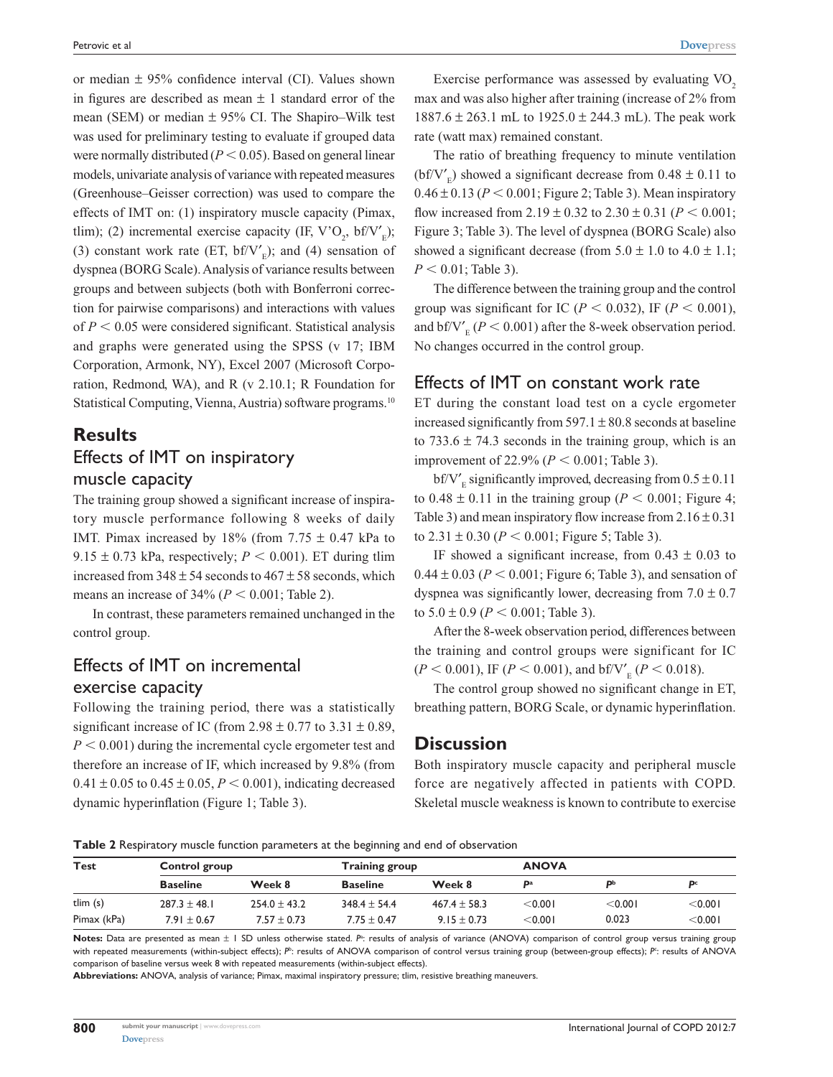or median  $\pm$  95% confidence interval (CI). Values shown in figures are described as mean  $\pm 1$  standard error of the mean (SEM) or median  $\pm$  95% CI. The Shapiro–Wilk test was used for preliminary testing to evaluate if grouped data were normally distributed ( $P < 0.05$ ). Based on general linear models, univariate analysis of variance with repeated measures (Greenhouse–Geisser correction) was used to compare the effects of IMT on: (1) inspiratory muscle capacity (Pimax, tlim); (2) incremental exercise capacity (IF, V'O<sub>2</sub>, bf/V'<sub>E</sub>); (3) constant work rate (ET,  $bf/V'_{E}$ ); and (4) sensation of dyspnea (BORG Scale). Analysis of variance results between groups and between subjects (both with Bonferroni correction for pairwise comparisons) and interactions with values of  $P < 0.05$  were considered significant. Statistical analysis and graphs were generated using the SPSS (v 17; IBM Corporation, Armonk, NY), Excel 2007 (Microsoft Corporation, Redmond, WA), and R (v 2.10.1; R Foundation for Statistical Computing, Vienna, Austria) software programs.<sup>10</sup>

# **Results** Effects of IMT on inspiratory muscle capacity

The training group showed a significant increase of inspiratory muscle performance following 8 weeks of daily IMT. Pimax increased by  $18\%$  (from  $7.75 \pm 0.47$  kPa to 9.15  $\pm$  0.73 kPa, respectively;  $P \le 0.001$ ). ET during tlim increased from  $348 \pm 54$  seconds to  $467 \pm 58$  seconds, which means an increase of  $34\%$  ( $P < 0.001$ ; Table 2).

In contrast, these parameters remained unchanged in the control group.

# Effects of IMT on incremental exercise capacity

Following the training period, there was a statistically significant increase of IC (from  $2.98 \pm 0.77$  to  $3.31 \pm 0.89$ ,  $P < 0.001$ ) during the incremental cycle ergometer test and therefore an increase of IF, which increased by 9.8% (from  $0.41 \pm 0.05$  to  $0.45 \pm 0.05$ ,  $P < 0.001$ ), indicating decreased dynamic hyperinflation (Figure 1; Table 3).

Exercise performance was assessed by evaluating VO<sub>2</sub> max and was also higher after training (increase of 2% from  $1887.6 \pm 263.1$  mL to  $1925.0 \pm 244.3$  mL). The peak work rate (watt max) remained constant.

The ratio of breathing frequency to minute ventilation  $(bf/V'_E)$  showed a significant decrease from 0.48  $\pm$  0.11 to  $0.46 \pm 0.13$  ( $P < 0.001$ ; Figure 2; Table 3). Mean inspiratory flow increased from 2.19  $\pm$  0.32 to 2.30  $\pm$  0.31 ( $P < 0.001$ ; Figure 3; Table 3). The level of dyspnea (BORG Scale) also showed a significant decrease (from  $5.0 \pm 1.0$  to  $4.0 \pm 1.1$ ;  $P < 0.01$ ; Table 3).

The difference between the training group and the control group was significant for IC ( $P < 0.032$ ), IF ( $P < 0.001$ ), and bf/V'<sub>E</sub> ( $P < 0.001$ ) after the 8-week observation period. No changes occurred in the control group.

## Effects of IMT on constant work rate

ET during the constant load test on a cycle ergometer increased significantly from  $597.1 \pm 80.8$  seconds at baseline to  $733.6 \pm 74.3$  seconds in the training group, which is an improvement of 22.9% ( $P < 0.001$ ; Table 3).

bf/V'<sub>E</sub> significantly improved, decreasing from  $0.5 \pm 0.11$ to  $0.48 \pm 0.11$  in the training group ( $P < 0.001$ ; Figure 4; Table 3) and mean inspiratory flow increase from  $2.16 \pm 0.31$ to  $2.31 \pm 0.30$  ( $P < 0.001$ ; Figure 5; Table 3).

IF showed a significant increase, from  $0.43 \pm 0.03$  to  $0.44 \pm 0.03$  ( $P < 0.001$ ; Figure 6; Table 3), and sensation of dyspnea was significantly lower, decreasing from  $7.0 \pm 0.7$ to  $5.0 \pm 0.9$  ( $P < 0.001$ ; Table 3).

After the 8-week observation period, differences between the training and control groups were significant for IC  $(P < 0.001)$ , IF  $(P < 0.001)$ , and bf/V'<sub>E</sub>  $(P < 0.018)$ .

The control group showed no significant change in ET, breathing pattern, BORG Scale, or dynamic hyperinflation.

### **Discussion**

Both inspiratory muscle capacity and peripheral muscle force are negatively affected in patients with COPD. Skeletal muscle weakness is known to contribute to exercise

**Table 2** Respiratory muscle function parameters at the beginning and end of observation

| <b>Test</b> | Control group    |                  | <b>Training group</b> |                  | <b>ANOVA</b> |         |           |
|-------------|------------------|------------------|-----------------------|------------------|--------------|---------|-----------|
|             | <b>Baseline</b>  | Week 8           | <b>Baseline</b>       | Week 8           |              | Db      | <b>D</b>  |
| tlim (s)    | $287.3 \pm 48.1$ | $254.0 \pm 43.2$ | $348.4 \pm 54.4$      | $467.4 \pm 58.3$ | $<$ 0.00 l   | < 0.001 | $<$ 0.001 |
| Pimax (kPa) | $7.91 \pm 0.67$  | $7.57 \pm 0.73$  | $7.75 \pm 0.47$       | $9.15 \pm 0.73$  | < 0.001      | 0.023   | $<$ 0.001 |

Notes: Data are presented as mean  $\pm$  1 SD unless otherwise stated. P<sup>a</sup>: results of analysis of variance (ANOVA) comparison of control group versus training group with repeated measurements (within-subject effects); <sup>pb</sup>: results of ANOVA comparison of control versus training group (between-group effects); P<sup>c</sup>: results of ANOVA comparison of baseline versus week 8 with repeated measurements (within-subject effects).

**Abbreviations:** ANOVA, analysis of variance; Pimax, maximal inspiratory pressure; tlim, resistive breathing maneuvers.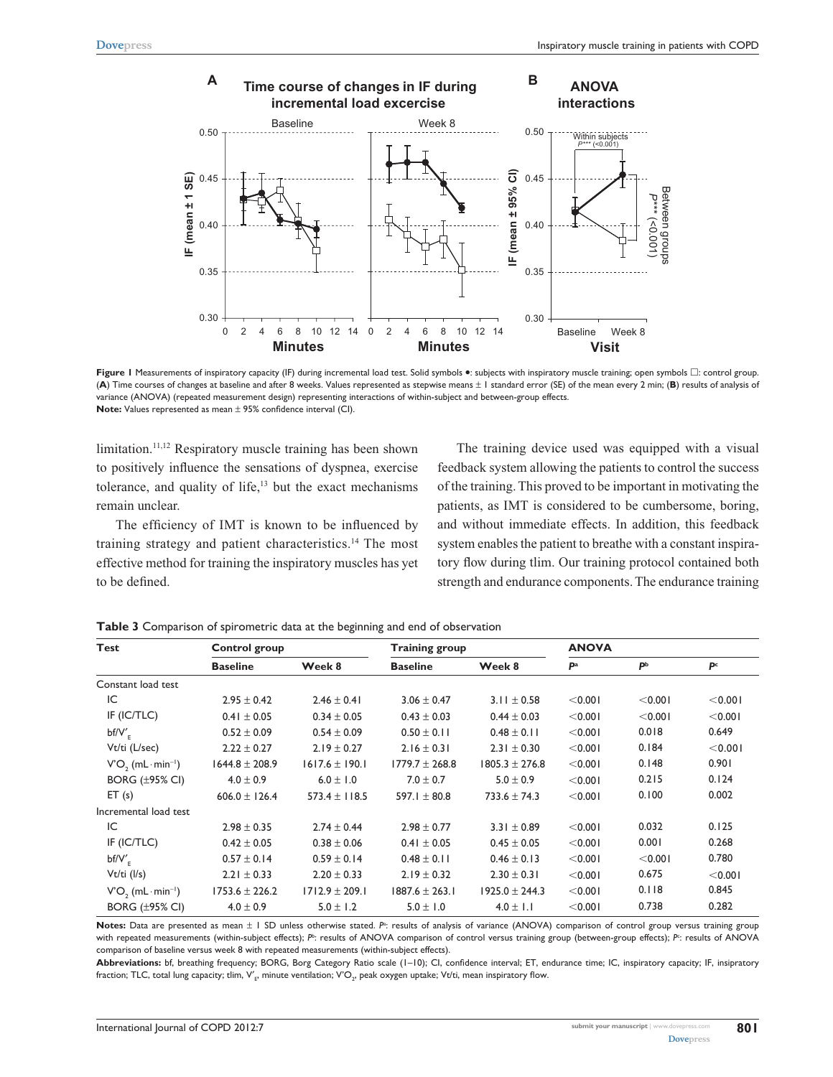

**Figure I** Measurements of inspiratory capacity (IF) during incremental load test. Solid symbols . subjects with inspiratory muscle training; open symbols □: control group. (**A**) Time courses of changes at baseline and after 8 weeks. Values represented as stepwise means ± 1 standard error (SE) of the mean every 2 min; (**B**) results of analysis of variance (ANOVA) (repeated measurement design) representing interactions of within-subject and between-group effects. **Note:** Values represented as mean ± 95% confidence interval (CI).

limitation.11,12 Respiratory muscle training has been shown to positively influence the sensations of dyspnea, exercise tolerance, and quality of life,<sup>13</sup> but the exact mechanisms remain unclear.

The efficiency of IMT is known to be influenced by training strategy and patient characteristics.14 The most effective method for training the inspiratory muscles has yet to be defined.

The training device used was equipped with a visual feedback system allowing the patients to control the success of the training. This proved to be important in motivating the patients, as IMT is considered to be cumbersome, boring, and without immediate effects. In addition, this feedback system enables the patient to breathe with a constant inspiratory flow during tlim. Our training protocol contained both strength and endurance components. The endurance training

| <b>Test</b>                                | Control group      |                    | <b>Training group</b> |                    | <b>ANOVA</b> |                |         |
|--------------------------------------------|--------------------|--------------------|-----------------------|--------------------|--------------|----------------|---------|
|                                            | <b>Baseline</b>    | Week 8             | <b>Baseline</b>       | Week 8             | Pa           | P <sub>b</sub> | P       |
| Constant load test                         |                    |                    |                       |                    |              |                |         |
| IC                                         | $2.95 \pm 0.42$    | $2.46 \pm 0.41$    | $3.06 \pm 0.47$       | $3.11 \pm 0.58$    | < 0.001      | < 0.001        | < 0.001 |
| IF (IC/TLC)                                | $0.41 \pm 0.05$    | $0.34 \pm 0.05$    | $0.43 \pm 0.03$       | $0.44 \pm 0.03$    | < 0.001      | < 0.001        | < 0.001 |
| $bf/V'_{e}$                                | $0.52 \pm 0.09$    | $0.54 \pm 0.09$    | $0.50 \pm 0.11$       | $0.48 \pm 0.11$    | < 0.001      | 0.018          | 0.649   |
| Vt/ti (L/sec)                              | $2.22 \pm 0.27$    | $2.19 \pm 0.27$    | $2.16 \pm 0.31$       | $2.31 \pm 0.30$    | < 0.001      | 0.184          | < 0.001 |
| $V'O_{2}$ (mL · min <sup>-1</sup> )        | $1644.8 \pm 208.9$ | $1617.6 \pm 190.1$ | $1779.7 \pm 268.8$    | $1805.3 \pm 276.8$ | < 0.001      | 0.148          | 0.901   |
| <b>BORG (±95% CI)</b>                      | $4.0 \pm 0.9$      | $6.0 \pm 1.0$      | $7.0 \pm 0.7$         | $5.0 \pm 0.9$      | < 0.001      | 0.215          | 0.124   |
| ET(s)                                      | $606.0 \pm 126.4$  | $573.4 \pm 118.5$  | 597.1 $\pm$ 80.8      | $733.6 \pm 74.3$   | < 0.001      | 0.100          | 0.002   |
| Incremental load test                      |                    |                    |                       |                    |              |                |         |
| IC                                         | $2.98 \pm 0.35$    | $2.74 \pm 0.44$    | $2.98 \pm 0.77$       | $3.31 \pm 0.89$    | < 0.001      | 0.032          | 0.125   |
| IF (IC/TLC)                                | $0.42 \pm 0.05$    | $0.38 \pm 0.06$    | $0.41 \pm 0.05$       | $0.45 \pm 0.05$    | < 0.001      | 0.001          | 0.268   |
| $bf/V'_{c}$                                | $0.57 \pm 0.14$    | $0.59 \pm 0.14$    | $0.48 \pm 0.11$       | $0.46 \pm 0.13$    | < 0.001      | < 0.001        | 0.780   |
| $Vt/ti$ ( $I/s$ )                          | $2.21 \pm 0.33$    | $2.20 \pm 0.33$    | $2.19 \pm 0.32$       | $2.30 \pm 0.31$    | < 0.001      | 0.675          | < 0.001 |
| $V'O$ <sub>2</sub> (mL·min <sup>-1</sup> ) | $1753.6 \pm 226.2$ | $1712.9 \pm 209.1$ | $1887.6 \pm 263.1$    | $1925.0 \pm 244.3$ | < 0.001      | 0.118          | 0.845   |
| <b>BORG (±95% CI)</b>                      | $4.0 \pm 0.9$      | $5.0 \pm 1.2$      | $5.0 \pm 1.0$         | $4.0 \pm 1.1$      | < 0.001      | 0.738          | 0.282   |

**Table 3** Comparison of spirometric data at the beginning and end of observation

Notes: Data are presented as mean  $\pm$  1 SD unless otherwise stated. P<sup>a</sup>: results of analysis of variance (ANOVA) comparison of control group versus training group with repeated measurements (within-subject effects); <sup>pb</sup>: results of ANOVA comparison of control versus training group (between-group effects); P<sup>c</sup>: results of ANOVA comparison of baseline versus week 8 with repeated measurements (within-subject effects).

Abbreviations: bf, breathing frequency; BORG, Borg Category Ratio scale (1-10); CI, confidence interval; ET, endurance time; IC, inspiratory capacity; IF, insipratory fraction; TLC, total lung capacity; tlim, V′<sub>E</sub>, minute ventilation; V'O<sub>2</sub>, peak oxygen uptake; Vt/ti, mean inspiratory flow.

**801**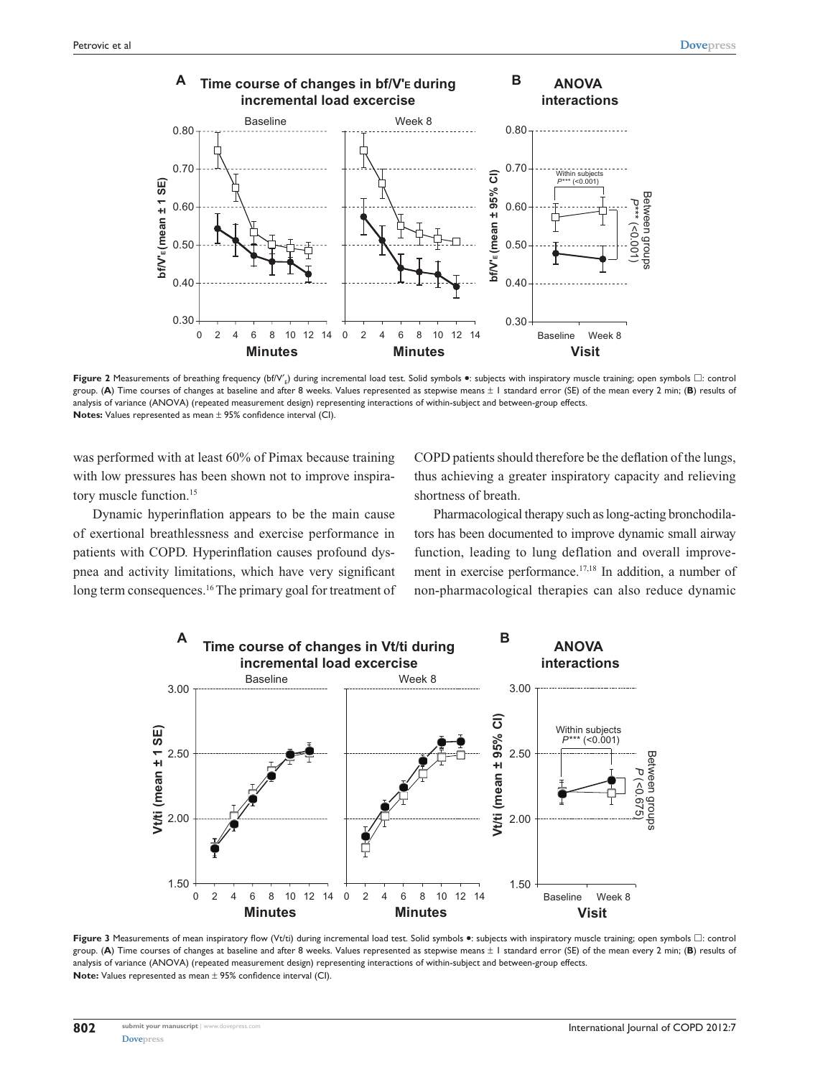

**Figure 2** Measurements of breathing frequency (bf/V'<sub>E</sub>) during incremental load test. Solid symbols •: subjects with inspiratory muscle training; open symbols □: control group. (**A**) Time courses of changes at baseline and after 8 weeks. Values represented as stepwise means ± 1 standard error (SE) of the mean every 2 min; (**B**) results of analysis of variance (ANOVA) (repeated measurement design) representing interactions of within-subject and between-group effects. **Notes:** Values represented as mean ± 95% confidence interval (CI).

was performed with at least 60% of Pimax because training with low pressures has been shown not to improve inspiratory muscle function.<sup>15</sup>

Dynamic hyperinflation appears to be the main cause of exertional breathlessness and exercise performance in patients with COPD. Hyperinflation causes profound dyspnea and activity limitations, which have very significant long term consequences.<sup>16</sup> The primary goal for treatment of COPD patients should therefore be the deflation of the lungs, thus achieving a greater inspiratory capacity and relieving shortness of breath.

Pharmacological therapy such as long-acting bronchodilators has been documented to improve dynamic small airway function, leading to lung deflation and overall improvement in exercise performance.17,18 In addition, a number of non-pharmacological therapies can also reduce dynamic



Figure 3 Measurements of mean inspiratory flow (Vt/ti) during incremental load test. Solid symbols ·: subjects with inspiratory muscle training; open symbols □: control group. (**A**) Time courses of changes at baseline and after 8 weeks. Values represented as stepwise means ± 1 standard error (SE) of the mean every 2 min; (**B**) results of analysis of variance (ANOVA) (repeated measurement design) representing interactions of within-subject and between-group effects. **Note:** Values represented as mean ± 95% confidence interval (CI).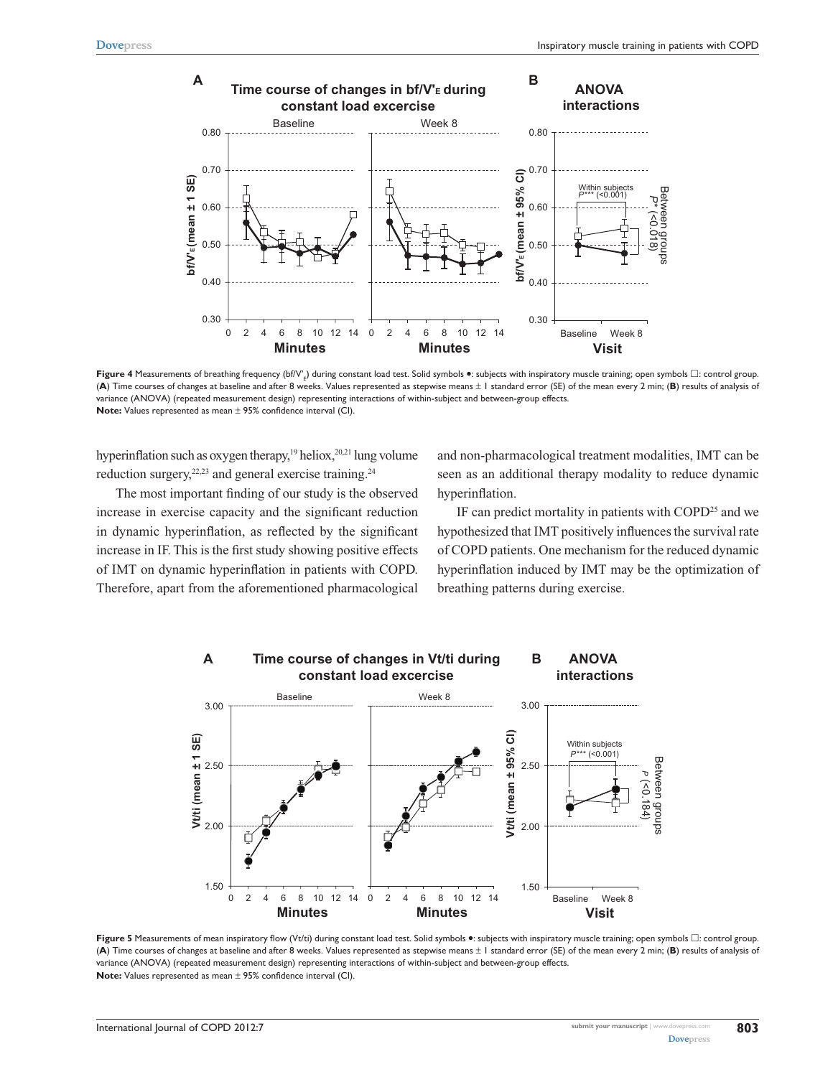

**Figure 4** Measurements of breathing frequency (bf/V<sub>E</sub>) during constant load test. Solid symbols  $\bullet$ : subjects with inspiratory muscle training; open symbols  $\Box$ : control group. (**A**) Time courses of changes at baseline and after 8 weeks. Values represented as stepwise means ± 1 standard error (SE) of the mean every 2 min; (**B**) results of analysis of variance (ANOVA) (repeated measurement design) representing interactions of within-subject and between-group effects. **Note:** Values represented as mean ± 95% confidence interval (CI).

hyperinflation such as oxygen therapy,<sup>19</sup> heliox,<sup>20,21</sup> lung volume reduction surgery, $22,23$  and general exercise training.<sup>24</sup>

The most important finding of our study is the observed increase in exercise capacity and the significant reduction in dynamic hyperinflation, as reflected by the significant increase in IF. This is the first study showing positive effects of IMT on dynamic hyperinflation in patients with COPD. Therefore, apart from the aforementioned pharmacological and non-pharmacological treatment modalities, IMT can be seen as an additional therapy modality to reduce dynamic hyperinflation.

IF can predict mortality in patients with COPD25 and we hypothesized that IMT positively influences the survival rate of COPD patients. One mechanism for the reduced dynamic hyperinflation induced by IMT may be the optimization of breathing patterns during exercise.



**Figure 5** Measurements of mean inspiratory flow (Vt/ti) during constant load test. Solid symbols ●: subjects with inspiratory muscle training; open symbols □: control group. (**A**) Time courses of changes at baseline and after 8 weeks. Values represented as stepwise means ± 1 standard error (SE) of the mean every 2 min; (**B**) results of analysis of variance (ANOVA) (repeated measurement design) representing interactions of within-subject and between-group effects. **Note:** Values represented as mean ± 95% confidence interval (CI).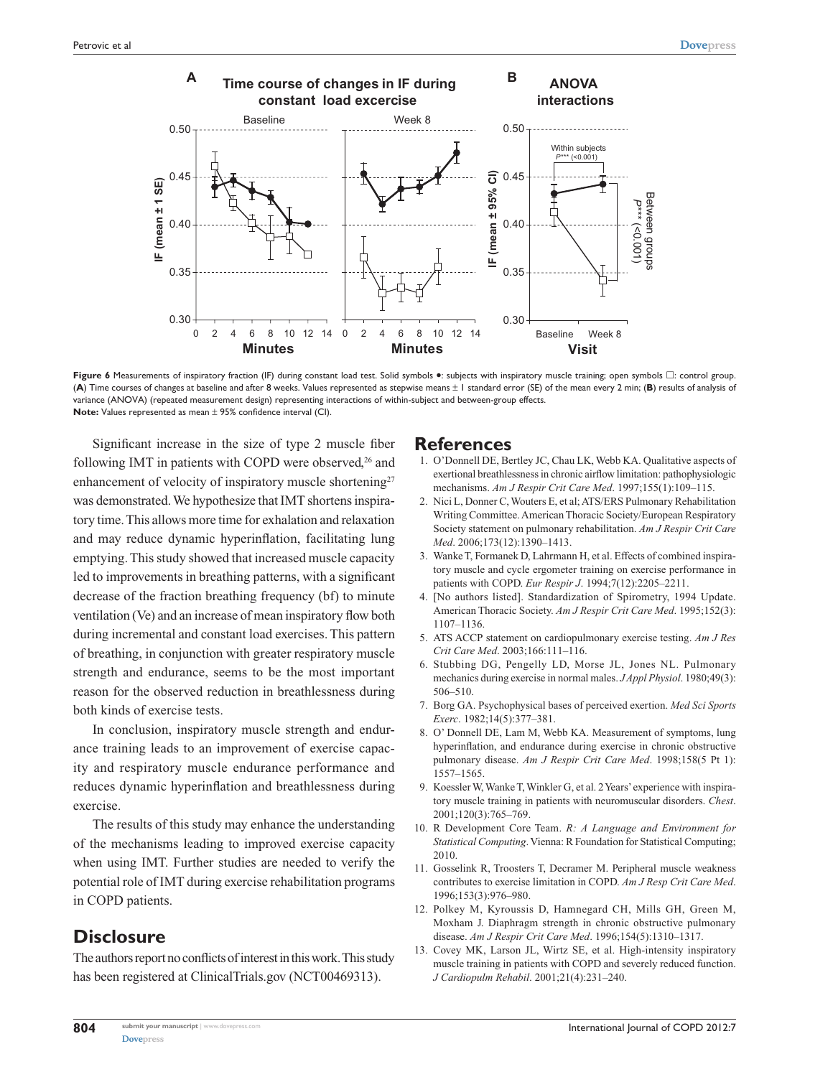

Figure 6 Measurements of inspiratory fraction (IF) during constant load test. Solid symbols •: subjects with inspiratory muscle training; open symbols  $\Box$ : control group. (**A**) Time courses of changes at baseline and after 8 weeks. Values represented as stepwise means ± 1 standard error (SE) of the mean every 2 min; (**B**) results of analysis of variance (ANOVA) (repeated measurement design) representing interactions of within-subject and between-group effects. **Note:** Values represented as mean ± 95% confidence interval (CI).

Significant increase in the size of type 2 muscle fiber following IMT in patients with COPD were observed,<sup>26</sup> and enhancement of velocity of inspiratory muscle shortening<sup>27</sup> was demonstrated. We hypothesize that IMT shortens inspiratory time. This allows more time for exhalation and relaxation and may reduce dynamic hyperinflation, facilitating lung emptying. This study showed that increased muscle capacity led to improvements in breathing patterns, with a significant decrease of the fraction breathing frequency (bf) to minute ventilation (Ve) and an increase of mean inspiratory flow both during incremental and constant load exercises. This pattern of breathing, in conjunction with greater respiratory muscle strength and endurance, seems to be the most important reason for the observed reduction in breathlessness during both kinds of exercise tests.

In conclusion, inspiratory muscle strength and endurance training leads to an improvement of exercise capacity and respiratory muscle endurance performance and reduces dynamic hyperinflation and breathlessness during exercise.

The results of this study may enhance the understanding of the mechanisms leading to improved exercise capacity when using IMT. Further studies are needed to verify the potential role of IMT during exercise rehabilitation programs in COPD patients.

# **Disclosure**

The authors report no conflicts of interest in this work. This study has been registered at ClinicalTrials.gov (NCT00469313).

#### **References**

- 1. O'Donnell DE, Bertley JC, Chau LK, Webb KA. Qualitative aspects of exertional breathlessness in chronic airflow limitation: pathophysiologic mechanisms. *Am J Respir Crit Care Med*. 1997;155(1):109–115.
- 2. Nici L, Donner C, Wouters E, et al; ATS/ERS Pulmonary Rehabilitation Writing Committee. American Thoracic Society/European Respiratory Society statement on pulmonary rehabilitation. *Am J Respir Crit Care Med*. 2006;173(12):1390–1413.
- 3. Wanke T, Formanek D, Lahrmann H, et al. Effects of combined inspiratory muscle and cycle ergometer training on exercise performance in patients with COPD. *Eur Respir J*. 1994;7(12):2205–2211.
- 4. [No authors listed]. Standardization of Spirometry, 1994 Update. American Thoracic Society. *Am J Respir Crit Care Med*. 1995;152(3): 1107–1136.
- 5. ATS ACCP statement on cardiopulmonary exercise testing. *Am J Res Crit Care Med*. 2003;166:111–116.
- 6. Stubbing DG, Pengelly LD, Morse JL, Jones NL. Pulmonary mechanics during exercise in normal males. *J Appl Physiol*. 1980;49(3): 506–510.
- 7. Borg GA. Psychophysical bases of perceived exertion. *Med Sci Sports Exerc*. 1982;14(5):377–381.
- 8. O' Donnell DE, Lam M, Webb KA. Measurement of symptoms, lung hyperinflation, and endurance during exercise in chronic obstructive pulmonary disease. *Am J Respir Crit Care Med*. 1998;158(5 Pt 1): 1557–1565.
- 9. Koessler W, Wanke T, Winkler G, et al. 2 Years' experience with inspiratory muscle training in patients with neuromuscular disorders. *Chest*. 2001;120(3):765–769.
- 10. R Development Core Team. *R: A Language and Environment for Statistical Computing*. Vienna: R Foundation for Statistical Computing; 2010.
- 11. Gosselink R, Troosters T, Decramer M. Peripheral muscle weakness contributes to exercise limitation in COPD. *Am J Resp Crit Care Med*. 1996;153(3):976–980.
- 12. Polkey M, Kyroussis D, Hamnegard CH, Mills GH, Green M, Moxham J. Diaphragm strength in chronic obstructive pulmonary disease. *Am J Respir Crit Care Med*. 1996;154(5):1310–1317.
- 13. Covey MK, Larson JL, Wirtz SE, et al. High-intensity inspiratory muscle training in patients with COPD and severely reduced function. *J Cardiopulm Rehabil*. 2001;21(4):231–240.